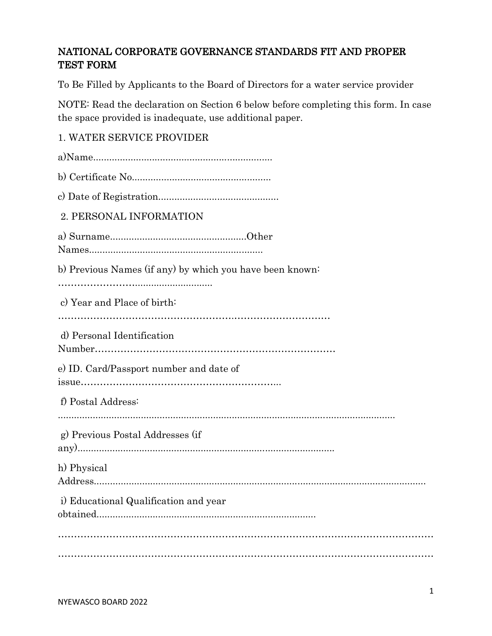# NATIONAL CORPORATE GOVERNANCE STANDARDS FIT AND PROPER TEST FORM

To Be Filled by Applicants to the Board of Directors for a water service provider

NOTE: Read the declaration on Section 6 below before completing this form. In case the space provided is inadequate, use additional paper.

# 1. WATER SERVICE PROVIDER

| 2. PERSONAL INFORMATION                                  |
|----------------------------------------------------------|
|                                                          |
| b) Previous Names (if any) by which you have been known: |
|                                                          |
| c) Year and Place of birth:                              |
|                                                          |
| d) Personal Identification                               |
|                                                          |
| e) ID. Card/Passport number and date of                  |
|                                                          |
| f) Postal Address:                                       |
|                                                          |
| g) Previous Postal Addresses (if                         |
| h) Physical                                              |
|                                                          |
| i) Educational Qualification and year                    |
|                                                          |
|                                                          |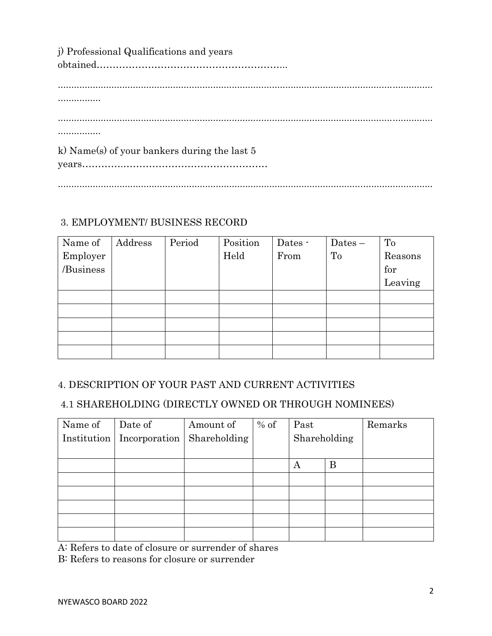| j) Professional Qualifications and years       |
|------------------------------------------------|
|                                                |
|                                                |
|                                                |
|                                                |
|                                                |
| k) Name(s) of your bankers during the last $5$ |
|                                                |
|                                                |

# 3. EMPLOYMENT/ BUSINESS RECORD

| Name of   | Address | Period | Position | Dates - | $Dates -$ | To      |
|-----------|---------|--------|----------|---------|-----------|---------|
| Employer  |         |        | Held     | From    | To        | Reasons |
| /Business |         |        |          |         |           | for     |
|           |         |        |          |         |           | Leaving |
|           |         |        |          |         |           |         |
|           |         |        |          |         |           |         |
|           |         |        |          |         |           |         |
|           |         |        |          |         |           |         |
|           |         |        |          |         |           |         |

# 4. DESCRIPTION OF YOUR PAST AND CURRENT ACTIVITIES

# 4.1 SHAREHOLDING (DIRECTLY OWNED OR THROUGH NOMINEES)

| Name of     | Date of       | Amount of    | $%$ of | Past         |   | Remarks |
|-------------|---------------|--------------|--------|--------------|---|---------|
| Institution | Incorporation | Shareholding |        | Shareholding |   |         |
|             |               |              |        |              |   |         |
|             |               |              |        | А            | B |         |
|             |               |              |        |              |   |         |
|             |               |              |        |              |   |         |
|             |               |              |        |              |   |         |
|             |               |              |        |              |   |         |
|             |               |              |        |              |   |         |

A: Refers to date of closure or surrender of shares

B: Refers to reasons for closure or surrender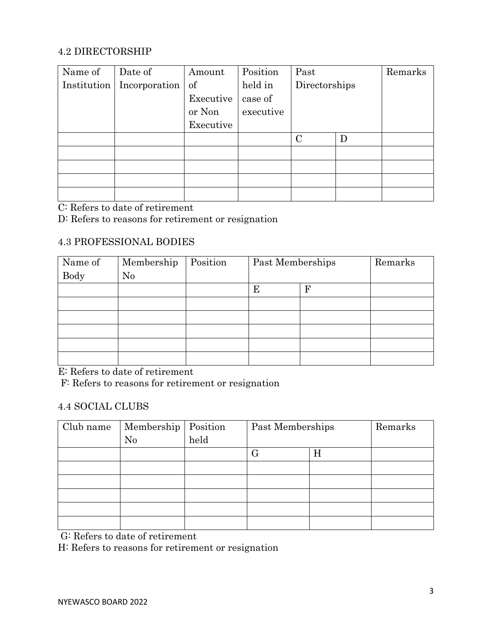### 4.2 DIRECTORSHIP

| Name of     | Date of       | Amount    | Position  | Past          |   | Remarks |
|-------------|---------------|-----------|-----------|---------------|---|---------|
| Institution | Incorporation | of        | held in   | Directorships |   |         |
|             |               | Executive | case of   |               |   |         |
|             |               | or Non    | executive |               |   |         |
|             |               | Executive |           |               |   |         |
|             |               |           |           | $\mathcal{C}$ | D |         |
|             |               |           |           |               |   |         |
|             |               |           |           |               |   |         |
|             |               |           |           |               |   |         |
|             |               |           |           |               |   |         |

C: Refers to date of retirement

D: Refers to reasons for retirement or resignation

#### 4.3 PROFESSIONAL BODIES

| Name of     | Membership | Position | Past Memberships |   | Remarks |
|-------------|------------|----------|------------------|---|---------|
| <b>Body</b> | No         |          |                  |   |         |
|             |            |          | Ε                | F |         |
|             |            |          |                  |   |         |
|             |            |          |                  |   |         |
|             |            |          |                  |   |         |
|             |            |          |                  |   |         |
|             |            |          |                  |   |         |

E: Refers to date of retirement

F: Refers to reasons for retirement or resignation

#### 4.4 SOCIAL CLUBS

| Club name | Membership   Position |      | Past Memberships |   | Remarks |
|-----------|-----------------------|------|------------------|---|---------|
|           | N <sub>0</sub>        | held |                  |   |         |
|           |                       |      |                  | Η |         |
|           |                       |      |                  |   |         |
|           |                       |      |                  |   |         |
|           |                       |      |                  |   |         |
|           |                       |      |                  |   |         |
|           |                       |      |                  |   |         |

G: Refers to date of retirement

H: Refers to reasons for retirement or resignation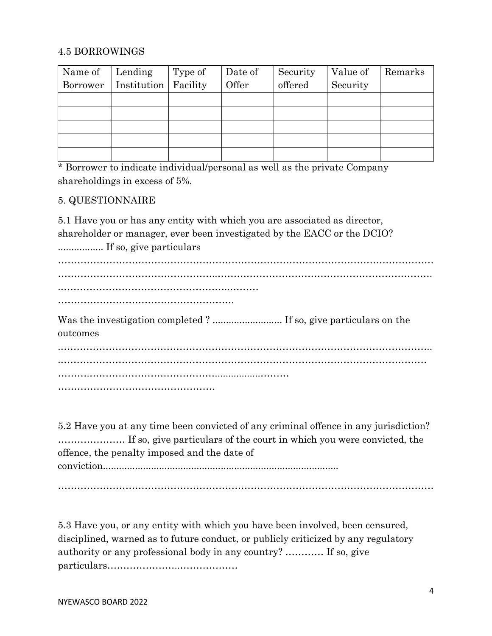#### 4.5 BORROWINGS

| Name of Lending |                                   | Type of | Date of | Security | Value of | Remarks |
|-----------------|-----------------------------------|---------|---------|----------|----------|---------|
|                 | Borrower   Institution   Facility |         | Offer   | offered  | Security |         |
|                 |                                   |         |         |          |          |         |
|                 |                                   |         |         |          |          |         |
|                 |                                   |         |         |          |          |         |
|                 |                                   |         |         |          |          |         |
|                 |                                   |         |         |          |          |         |

\* Borrower to indicate individual/personal as well as the private Company shareholdings in excess of 5%.

### 5. QUESTIONNAIRE

5.1 Have you or has any entity with which you are associated as director, shareholder or manager, ever been investigated by the EACC or the DCIO? ................. If so, give particulars

……………………………………………………………………………………………………… …………………………………………..…………………………………………………………. .……………………………………………..……… ……………………………………………….

Was the investigation completed ? .......................... If so, give particulars on the outcomes .……………………………………………………………………………………………………..

.……………………………………………………………………………………………………

………………………………………………………

5.2 Have you at any time been convicted of any criminal offence in any jurisdiction? ………………… If so, give particulars of the court in which you were convicted, the offence, the penalty imposed and the date of conviction........................................................................................

………………………………………………………………………………………………………

5.3 Have you, or any entity with which you have been involved, been censured, disciplined, warned as to future conduct, or publicly criticized by any regulatory authority or any professional body in any country? ………… If so, give particulars…………………..………………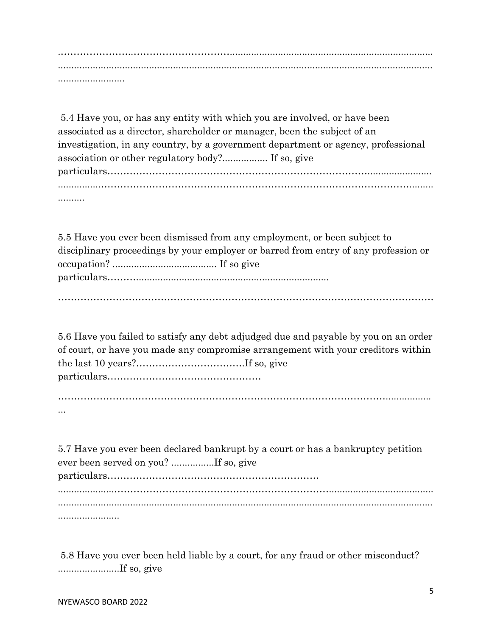.…………………..…………………………............................................................................ ............................................................................................................................................ .........................

5.4 Have you, or has any entity with which you are involved, or have been associated as a director, shareholder or manager, been the subject of an investigation, in any country, by a government department or agency, professional association or other regulatory body?................. If so, give particulars………………………………………………………………………........................ ..........

5.5 Have you ever been dismissed from any employment, or been subject to disciplinary proceedings by your employer or barred from entry of any profession or occupation? ....................................... If so give particulars………........................................................................

………………………………………………………………………………………………………

5.6 Have you failed to satisfy any debt adjudged due and payable by you on an order of court, or have you made any compromise arrangement with your creditors within the last 10 years?…………………………….If so, give particulars…………………………………………

 $\mathcal{L}^{\text{max}}_{\text{max}}$ ...

5.7 Have you ever been declared bankrupt by a court or has a bankruptcy petition ever been served on you? ................If so, give particulars………………………………………………………… .....................…………………………………….……………………....................................... ............................................................................................................................................ .......................

5.8 Have you ever been held liable by a court, for any fraud or other misconduct? .......................If so, give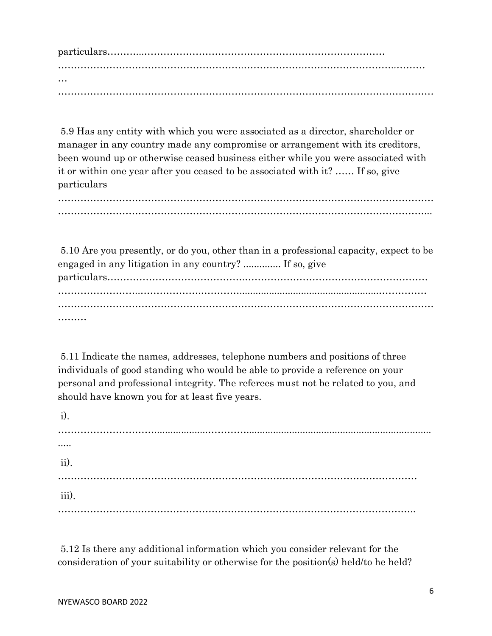particulars………...………………………………………………………………… ………………………………………………….……………….………………………..……… … ………………………………………………………………………………………………………

5.9 Has any entity with which you were associated as a director, shareholder or manager in any country made any compromise or arrangement with its creditors, been wound up or otherwise ceased business either while you were associated with it or within one year after you ceased to be associated with it? …… If so, give particulars

……………………………………………………………………………………………………… ……………………………………………………………………………………………………...

5.10 Are you presently, or do you, other than in a professional capacity, expect to be engaged in any litigation in any country? .............. If so, give particulars…………………………………….………………………………………………… ……………………………………………………………………………………………………… ………

5.11 Indicate the names, addresses, telephone numbers and positions of three individuals of good standing who would be able to provide a reference on your personal and professional integrity. The referees must not be related to you, and should have known you for at least five years.

i). …………………………....................…………..................................................................... ..... ii). …………………………………………………………….…………………………………… iii). …………………….…………………………………………….……………………………..

5.12 Is there any additional information which you consider relevant for the consideration of your suitability or otherwise for the position(s) held/to he held?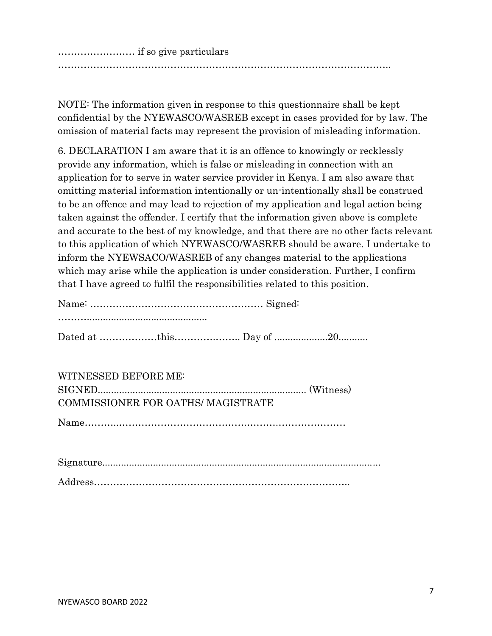…………………… if so give particulars

…………………………………………………………………………………………..

NOTE: The information given in response to this questionnaire shall be kept confidential by the NYEWASCO/WASREB except in cases provided for by law. The omission of material facts may represent the provision of misleading information.

6. DECLARATION I am aware that it is an offence to knowingly or recklessly provide any information, which is false or misleading in connection with an application for to serve in water service provider in Kenya. I am also aware that omitting material information intentionally or un-intentionally shall be construed to be an offence and may lead to rejection of my application and legal action being taken against the offender. I certify that the information given above is complete and accurate to the best of my knowledge, and that there are no other facts relevant to this application of which NYEWASCO/WASREB should be aware. I undertake to inform the NYEWSACO/WASREB of any changes material to the applications which may arise while the application is under consideration. Further, I confirm that I have agreed to fulfil the responsibilities related to this position.

WITNESSED BEFORE ME: SIGNED.............................................................................. (Witness) COMMISSIONER FOR OATHS/ MAGISTRATE

Name………..………………………………….……….…………………

Signature........................................................................................................

Address……………………………………………………………………..